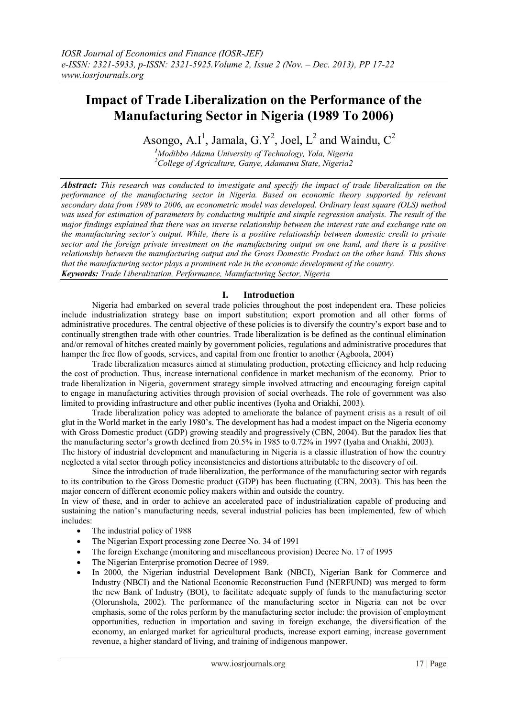# **Impact of Trade Liberalization on the Performance of the Manufacturing Sector in Nigeria (1989 To 2006)**

Asongo, A.I<sup>1</sup>, Jamala, G.Y<sup>2</sup>, Joel, L<sup>2</sup> and Waindu, C<sup>2</sup>

*<sup>1</sup>Modibbo Adama University of Technology, Yola, Nigeria <sup>2</sup>College of Agriculture, Ganye, Adamawa State, Nigeria2*

*Abstract: This research was conducted to investigate and specify the impact of trade liberalization on the performance of the manufacturing sector in Nigeria. Based on economic theory supported by relevant secondary data from 1989 to 2006, an econometric model was developed. Ordinary least square (OLS) method was used for estimation of parameters by conducting multiple and simple regression analysis. The result of the major findings explained that there was an inverse relationship between the interest rate and exchange rate on the manufacturing sector's output. While, there is a positive relationship between domestic credit to private sector and the foreign private investment on the manufacturing output on one hand, and there is a positive relationship between the manufacturing output and the Gross Domestic Product on the other hand. This shows that the manufacturing sector plays a prominent role in the economic development of the country. Keywords: Trade Liberalization, Performance, Manufacturing Sector, Nigeria* 

# **I. Introduction**

Nigeria had embarked on several trade policies throughout the post independent era. These policies include industrialization strategy base on import substitution; export promotion and all other forms of administrative procedures. The central objective of these policies is to diversify the country's export base and to continually strengthen trade with other countries. Trade liberalization is be defined as the continual elimination and/or removal of hitches created mainly by government policies, regulations and administrative procedures that hamper the free flow of goods, services, and capital from one frontier to another (Agboola, 2004)

Trade liberalization measures aimed at stimulating production, protecting efficiency and help reducing the cost of production. Thus, increase international confidence in market mechanism of the economy. Prior to trade liberalization in Nigeria, government strategy simple involved attracting and encouraging foreign capital to engage in manufacturing activities through provision of social overheads. The role of government was also limited to providing infrastructure and other public incentives (Iyoha and Oriakhi, 2003).

Trade liberalization policy was adopted to ameliorate the balance of payment crisis as a result of oil glut in the World market in the early 1980's. The development has had a modest impact on the Nigeria economy with Gross Domestic product (GDP) growing steadily and progressively (CBN, 2004). But the paradox lies that the manufacturing sector's growth declined from 20.5% in 1985 to 0.72% in 1997 (Iyaha and Oriakhi, 2003). The history of industrial development and manufacturing in Nigeria is a classic illustration of how the country neglected a vital sector through policy inconsistencies and distortions attributable to the discovery of oil.

Since the introduction of trade liberalization, the performance of the manufacturing sector with regards to its contribution to the Gross Domestic product (GDP) has been fluctuating (CBN, 2003). This has been the major concern of different economic policy makers within and outside the country.

In view of these, and in order to achieve an accelerated pace of industrialization capable of producing and sustaining the nation's manufacturing needs, several industrial policies has been implemented, few of which includes:

- The industrial policy of 1988
- The Nigerian Export processing zone Decree No. 34 of 1991
- The foreign Exchange (monitoring and miscellaneous provision) Decree No. 17 of 1995
- The Nigerian Enterprise promotion Decree of 1989.
- In 2000, the Nigerian industrial Development Bank (NBCI), Nigerian Bank for Commerce and Industry (NBCI) and the National Economic Reconstruction Fund (NERFUND) was merged to form the new Bank of Industry (BOI), to facilitate adequate supply of funds to the manufacturing sector (Olorunshola, 2002). The performance of the manufacturing sector in Nigeria can not be over emphasis, some of the roles perform by the manufacturing sector include: the provision of employment opportunities, reduction in importation and saving in foreign exchange, the diversification of the economy, an enlarged market for agricultural products, increase export earning, increase government revenue, a higher standard of living, and training of indigenous manpower.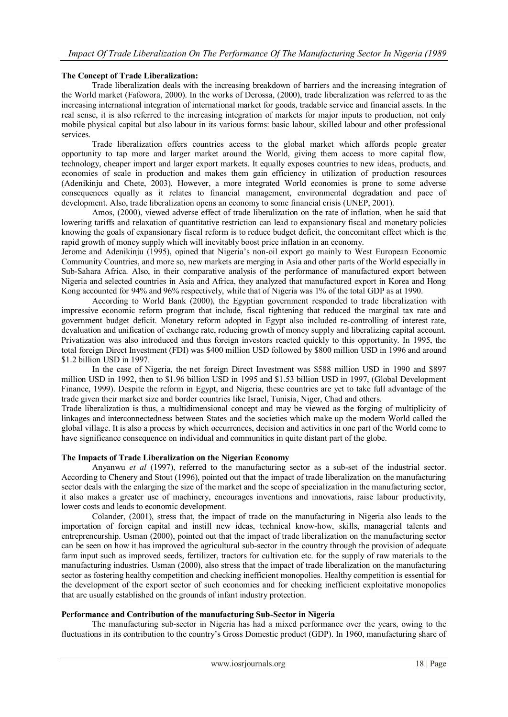# **The Concept of Trade Liberalization:**

Trade liberalization deals with the increasing breakdown of barriers and the increasing integration of the World market (Fafowora, 2000). In the works of Derossa, (2000), trade liberalization was referred to as the increasing international integration of international market for goods, tradable service and financial assets. In the real sense, it is also referred to the increasing integration of markets for major inputs to production, not only mobile physical capital but also labour in its various forms: basic labour, skilled labour and other professional services.

Trade liberalization offers countries access to the global market which affords people greater opportunity to tap more and larger market around the World, giving them access to more capital flow, technology, cheaper import and larger export markets. It equally exposes countries to new ideas, products, and economies of scale in production and makes them gain efficiency in utilization of production resources (Adenikinju and Chete, 2003). However, a more integrated World economies is prone to some adverse consequences equally as it relates to financial management, environmental degradation and pace of development. Also, trade liberalization opens an economy to some financial crisis (UNEP, 2001).

Amos, (2000), viewed adverse effect of trade liberalization on the rate of inflation, when he said that lowering tariffs and relaxation of quantitative restriction can lead to expansionary fiscal and monetary policies knowing the goals of expansionary fiscal reform is to reduce budget deficit, the concomitant effect which is the rapid growth of money supply which will inevitably boost price inflation in an economy.

Jerome and Adenikinju (1995), opined that Nigeria's non-oil export go mainly to West European Economic Community Countries, and more so, new markets are merging in Asia and other parts of the World especially in Sub-Sahara Africa. Also, in their comparative analysis of the performance of manufactured export between Nigeria and selected countries in Asia and Africa, they analyzed that manufactured export in Korea and Hong Kong accounted for 94% and 96% respectively, while that of Nigeria was 1% of the total GDP as at 1990.

According to World Bank (2000), the Egyptian government responded to trade liberalization with impressive economic reform program that include, fiscal tightening that reduced the marginal tax rate and government budget deficit. Monetary reform adopted in Egypt also included re-controlling of interest rate, devaluation and unification of exchange rate, reducing growth of money supply and liberalizing capital account. Privatization was also introduced and thus foreign investors reacted quickly to this opportunity. In 1995, the total foreign Direct Investment (FDI) was \$400 million USD followed by \$800 million USD in 1996 and around \$1.2 billion USD in 1997.

In the case of Nigeria, the net foreign Direct Investment was \$588 million USD in 1990 and \$897 million USD in 1992, then to \$1.96 billion USD in 1995 and \$1.53 billion USD in 1997, (Global Development Finance, 1999). Despite the reform in Egypt, and Nigeria, these countries are yet to take full advantage of the trade given their market size and border countries like Israel, Tunisia, Niger, Chad and others.

Trade liberalization is thus, a multidimensional concept and may be viewed as the forging of multiplicity of linkages and interconnectedness between States and the societies which make up the modern World called the global village. It is also a process by which occurrences, decision and activities in one part of the World come to have significance consequence on individual and communities in quite distant part of the globe.

# **The Impacts of Trade Liberalization on the Nigerian Economy**

Anyanwu *et al* (1997), referred to the manufacturing sector as a sub-set of the industrial sector. According to Chenery and Stout (1996), pointed out that the impact of trade liberalization on the manufacturing sector deals with the enlarging the size of the market and the scope of specialization in the manufacturing sector, it also makes a greater use of machinery, encourages inventions and innovations, raise labour productivity, lower costs and leads to economic development.

Colander, (2001), stress that, the impact of trade on the manufacturing in Nigeria also leads to the importation of foreign capital and instill new ideas, technical know-how, skills, managerial talents and entrepreneurship. Usman (2000), pointed out that the impact of trade liberalization on the manufacturing sector can be seen on how it has improved the agricultural sub-sector in the country through the provision of adequate farm input such as improved seeds, fertilizer, tractors for cultivation etc. for the supply of raw materials to the manufacturing industries. Usman (2000), also stress that the impact of trade liberalization on the manufacturing sector as fostering healthy competition and checking inefficient monopolies. Healthy competition is essential for the development of the export sector of such economies and for checking inefficient exploitative monopolies that are usually established on the grounds of infant industry protection.

# **Performance and Contribution of the manufacturing Sub-Sector in Nigeria**

The manufacturing sub-sector in Nigeria has had a mixed performance over the years, owing to the fluctuations in its contribution to the country's Gross Domestic product (GDP). In 1960, manufacturing share of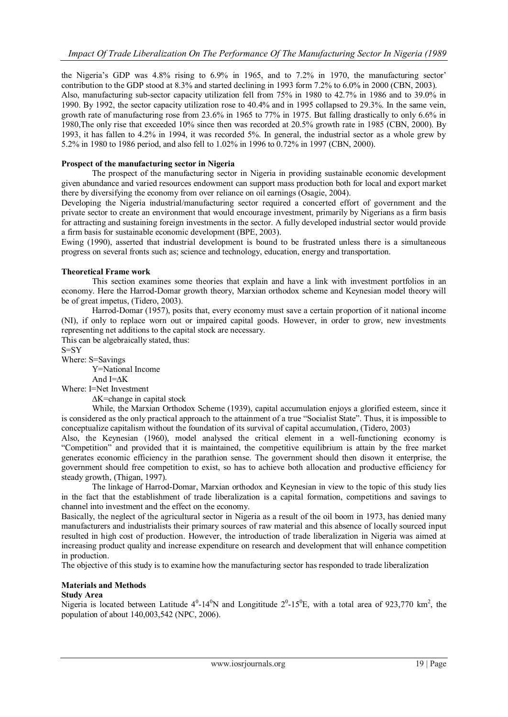the Nigeria's GDP was 4.8% rising to 6.9% in 1965, and to 7.2% in 1970, the manufacturing sector' contribution to the GDP stood at 8.3% and started declining in 1993 form 7.2% to 6.0% in 2000 (CBN, 2003). Also, manufacturing sub-sector capacity utilization fell from 75% in 1980 to 42.7% in 1986 and to 39.0% in 1990. By 1992, the sector capacity utilization rose to 40.4% and in 1995 collapsed to 29.3%. In the same vein, growth rate of manufacturing rose from 23.6% in 1965 to 77% in 1975. But falling drastically to only 6.6% in 1980,The only rise that exceeded 10% since then was recorded at 20.5% growth rate in 1985 (CBN, 2000). By 1993, it has fallen to 4.2% in 1994, it was recorded 5%. In general, the industrial sector as a whole grew by 5.2% in 1980 to 1986 period, and also fell to 1.02% in 1996 to 0.72% in 1997 (CBN, 2000).

## **Prospect of the manufacturing sector in Nigeria**

The prospect of the manufacturing sector in Nigeria in providing sustainable economic development given abundance and varied resources endowment can support mass production both for local and export market there by diversifying the economy from over reliance on oil earnings (Osagie, 2004).

Developing the Nigeria industrial/manufacturing sector required a concerted effort of government and the private sector to create an environment that would encourage investment, primarily by Nigerians as a firm basis for attracting and sustaining foreign investments in the sector. A fully developed industrial sector would provide a firm basis for sustainable economic development (BPE, 2003).

Ewing (1990), asserted that industrial development is bound to be frustrated unless there is a simultaneous progress on several fronts such as; science and technology, education, energy and transportation.

### **Theoretical Frame work**

This section examines some theories that explain and have a link with investment portfolios in an economy. Here the Harrod-Domar growth theory, Marxian orthodox scheme and Keynesian model theory will be of great impetus, (Tidero, 2003).

Harrod-Domar (1957), posits that, every economy must save a certain proportion of it national income (NI), if only to replace worn out or impaired capital goods. However, in order to grow, new investments representing net additions to the capital stock are necessary.

This can be algebraically stated, thus:

S=SY

Where: S=Savings

Y=National Income

And I=∆K

Where: I=Net Investment

∆K=change in capital stock

While, the Marxian Orthodox Scheme (1939), capital accumulation enjoys a glorified esteem, since it is considered as the only practical approach to the attainment of a true "Socialist State". Thus, it is impossible to conceptualize capitalism without the foundation of its survival of capital accumulation, (Tidero, 2003)

Also, the Keynesian (1960), model analysed the critical element in a well-functioning economy is "Competition" and provided that it is maintained, the competitive equilibrium is attain by the free market generates economic efficiency in the parathion sense. The government should then disown it enterprise, the government should free competition to exist, so has to achieve both allocation and productive efficiency for steady growth, (Thigan, 1997).

The linkage of Harrod-Domar, Marxian orthodox and Keynesian in view to the topic of this study lies in the fact that the establishment of trade liberalization is a capital formation, competitions and savings to channel into investment and the effect on the economy.

Basically, the neglect of the agricultural sector in Nigeria as a result of the oil boom in 1973, has denied many manufacturers and industrialists their primary sources of raw material and this absence of locally sourced input resulted in high cost of production. However, the introduction of trade liberalization in Nigeria was aimed at increasing product quality and increase expenditure on research and development that will enhance competition in production.

The objective of this study is to examine how the manufacturing sector has responded to trade liberalization

# **Materials and Methods**

### **Study Area**

Nigeria is located between Latitude  $4^0$ -14<sup>0</sup>N and Longititude  $2^0$ -15<sup>0</sup>E, with a total area of 923,770 km<sup>2</sup>, the population of about 140,003,542 (NPC, 2006).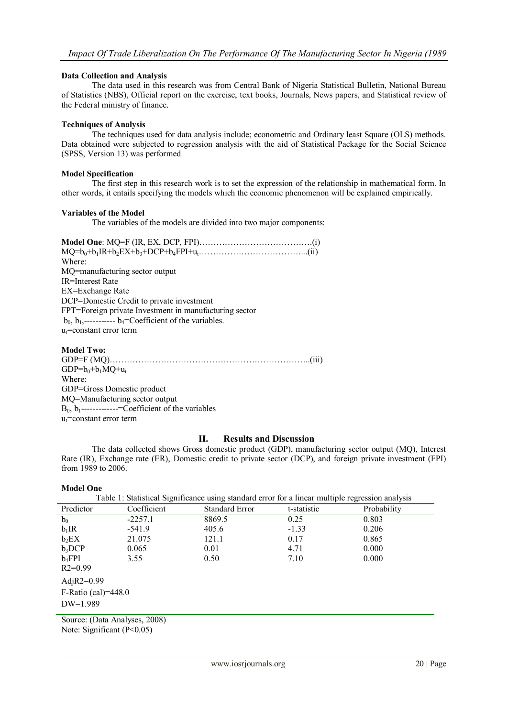# **Data Collection and Analysis**

The data used in this research was from Central Bank of Nigeria Statistical Bulletin, National Bureau of Statistics (NBS), Official report on the exercise, text books, Journals, News papers, and Statistical review of the Federal ministry of finance.

## **Techniques of Analysis**

The techniques used for data analysis include; econometric and Ordinary least Square (OLS) methods. Data obtained were subjected to regression analysis with the aid of Statistical Package for the Social Science (SPSS, Version 13) was performed

### **Model Specification**

The first step in this research work is to set the expression of the relationship in mathematical form. In other words, it entails specifying the models which the economic phenomenon will be explained empirically.

### **Variables of the Model**

The variables of the models are divided into two major components:

**Model One**: MQ=F (IR, EX, DCP, FPI)………………………………….(i) MQ=b0+b1IR+b2EX+b3+DCP+b4FPI+ut………………………………...(ii) Where: MQ=manufacturing sector output IR=Interest Rate EX=Exchange Rate DCP=Domestic Credit to private investment FPT=Foreign private Investment in manufacturing sector  $b_0$ ,  $b_1$ ,-----------  $b_4$ =Coefficient of the variables.  $u_t$ =constant error term

# **Model Two:**

GDP=F (MQ)……………………………………………………………..(iii)  $GDP = b_0 + b_1 MO + u_t$ Where: GDP=Gross Domestic product MQ=Manufacturing sector output B0, b1-------------=Coefficient of the variables  $u_t$ =constant error term

# **II. Results and Discussion**

The data collected shows Gross domestic product (GDP), manufacturing sector output (MQ), Interest Rate (IR), Exchange rate (ER), Domestic credit to private sector (DCP), and foreign private investment (FPI) from 1989 to 2006.

### **Model One**

| www.ch                                                                                           |             |                       |             |             |  |  |  |  |
|--------------------------------------------------------------------------------------------------|-------------|-----------------------|-------------|-------------|--|--|--|--|
| Table 1: Statistical Significance using standard error for a linear multiple regression analysis |             |                       |             |             |  |  |  |  |
| Predictor                                                                                        | Coefficient | <b>Standard Error</b> | t-statistic | Probability |  |  |  |  |
| $b_0$                                                                                            | $-2257.1$   | 8869.5                | 0.25        | 0.803       |  |  |  |  |
| $b_1$ IR                                                                                         | $-541.9$    | 405.6                 | $-1.33$     | 0.206       |  |  |  |  |
| $b_2$ EX                                                                                         | 21.075      | 121.1                 | 0.17        | 0.865       |  |  |  |  |
| $b_3DCP$                                                                                         | 0.065       | 0.01                  | 4.71        | 0.000       |  |  |  |  |
| $b_4$ FPI                                                                                        | 3.55        | 0.50                  | 7.10        | 0.000       |  |  |  |  |
| $R2=0.99$                                                                                        |             |                       |             |             |  |  |  |  |
| AdjR2= $0.99$                                                                                    |             |                       |             |             |  |  |  |  |
| $F-Ratio (cal)=448.0$                                                                            |             |                       |             |             |  |  |  |  |
| $DW=1.989$                                                                                       |             |                       |             |             |  |  |  |  |
|                                                                                                  |             |                       |             |             |  |  |  |  |

Source: (Data Analyses, 2008) Note: Significant (P<0.05)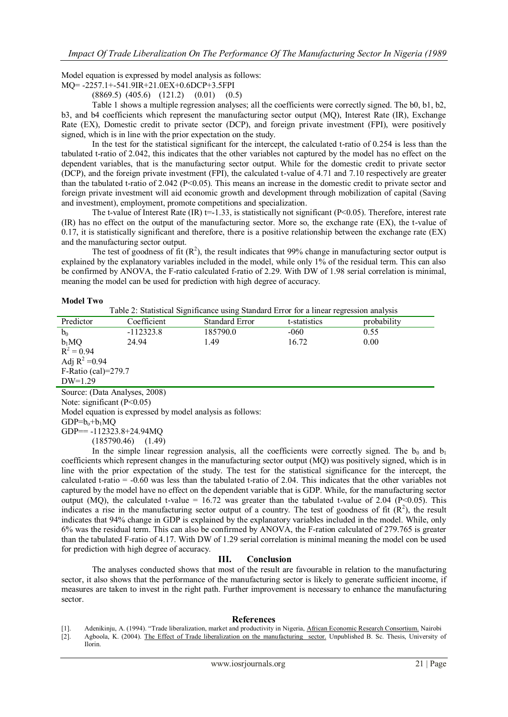Model equation is expressed by model analysis as follows:

MQ= -2257.1+-541.9IR+21.0EX+0.6DCP+3.5FPI

(8869.5) (405.6) (121.2) (0.01) (0.5)

Table 1 shows a multiple regression analyses; all the coefficients were correctly signed. The b0, b1, b2, b3, and b4 coefficients which represent the manufacturing sector output (MQ), Interest Rate (IR), Exchange Rate (EX), Domestic credit to private sector (DCP), and foreign private investment (FPI), were positively signed, which is in line with the prior expectation on the study.

In the test for the statistical significant for the intercept, the calculated t-ratio of 0.254 is less than the tabulated t-ratio of 2.042, this indicates that the other variables not captured by the model has no effect on the dependent variables, that is the manufacturing sector output. While for the domestic credit to private sector (DCP), and the foreign private investment (FPI), the calculated t-value of 4.71 and 7.10 respectively are greater than the tabulated t-ratio of 2.042 (P<0.05). This means an increase in the domestic credit to private sector and foreign private investment will aid economic growth and development through mobilization of capital (Saving and investment), employment, promote competitions and specialization.

The t-value of Interest Rate (IR)  $t=1.33$ , is statistically not significant (P<0.05). Therefore, interest rate (IR) has no effect on the output of the manufacturing sector. More so, the exchange rate (EX), the t-value of  $0.17$ , it is statistically significant and therefore, there is a positive relationship between the exchange rate (EX) and the manufacturing sector output.

The test of goodness of fit  $(R^2)$ , the result indicates that 99% change in manufacturing sector output is explained by the explanatory variables included in the model, while only 1% of the residual term. This can also be confirmed by ANOVA, the F-ratio calculated f-ratio of 2.29. With DW of 1.98 serial correlation is minimal, meaning the model can be used for prediction with high degree of accuracy.

#### **Model Two**

| Table 2: Statistical Significance using Standard Error for a linear regression analysis |
|-----------------------------------------------------------------------------------------|
|-----------------------------------------------------------------------------------------|

| Predictor                     | Coefficient | <b>Standard Error</b> | t-statistics | probability |  |  |  |
|-------------------------------|-------------|-----------------------|--------------|-------------|--|--|--|
| $b_0$                         | $-112323.8$ | 185790.0              | $-060$       | 0.55        |  |  |  |
| $b_1MQ$                       | 24.94       | 1.49                  | 16.72        | 0.00        |  |  |  |
| $R^2 = 0.94$                  |             |                       |              |             |  |  |  |
| Adj $R^2 = 0.94$              |             |                       |              |             |  |  |  |
| F-Ratio (cal)= $279.7$        |             |                       |              |             |  |  |  |
| $DW=1.29$                     |             |                       |              |             |  |  |  |
| Source: (Data Analyses, 2008) |             |                       |              |             |  |  |  |
| Note: significant $(P<0.05)$  |             |                       |              |             |  |  |  |

Model equation is expressed by model analysis as follows:

GDP== -112323.8+24.94MQ (185790.46) (1.49)

In the simple linear regression analysis, all the coefficients were correctly signed. The  $b_0$  and  $b_1$ coefficients which represent changes in the manufacturing sector output (MQ) was positively signed, which is in line with the prior expectation of the study. The test for the statistical significance for the intercept, the calculated t-ratio = -0.60 was less than the tabulated t-ratio of 2.04. This indicates that the other variables not captured by the model have no effect on the dependent variable that is GDP. While, for the manufacturing sector output (MQ), the calculated t-value = 16.72 was greater than the tabulated t-value of 2.04 (P<0.05). This indicates a rise in the manufacturing sector output of a country. The test of goodness of fit  $(R^2)$ , the result indicates that 94% change in GDP is explained by the explanatory variables included in the model. While, only 6% was the residual term. This can also be confirmed by ANOVA, the F-ration calculated of 279.765 is greater than the tabulated F-ratio of 4.17. With DW of 1.29 serial correlation is minimal meaning the model con be used for prediction with high degree of accuracy.

### **III. Conclusion**

The analyses conducted shows that most of the result are favourable in relation to the manufacturing sector, it also shows that the performance of the manufacturing sector is likely to generate sufficient income, if measures are taken to invest in the right path. Further improvement is necessary to enhance the manufacturing sector.

# **References**

- [1]. Adenikinju, A. (1994). "Trade liberalization, market and productivity in Nigeria, African Economic Research Consortium. Nairobi
- [2]. Agboola, K. (2004). The Effect of Trade liberalization on the manufacturing sector. Unpublished B. Sc. Thesis, University of Ilorin.

 $GDP=b<sub>o</sub>+b<sub>1</sub>MQ$